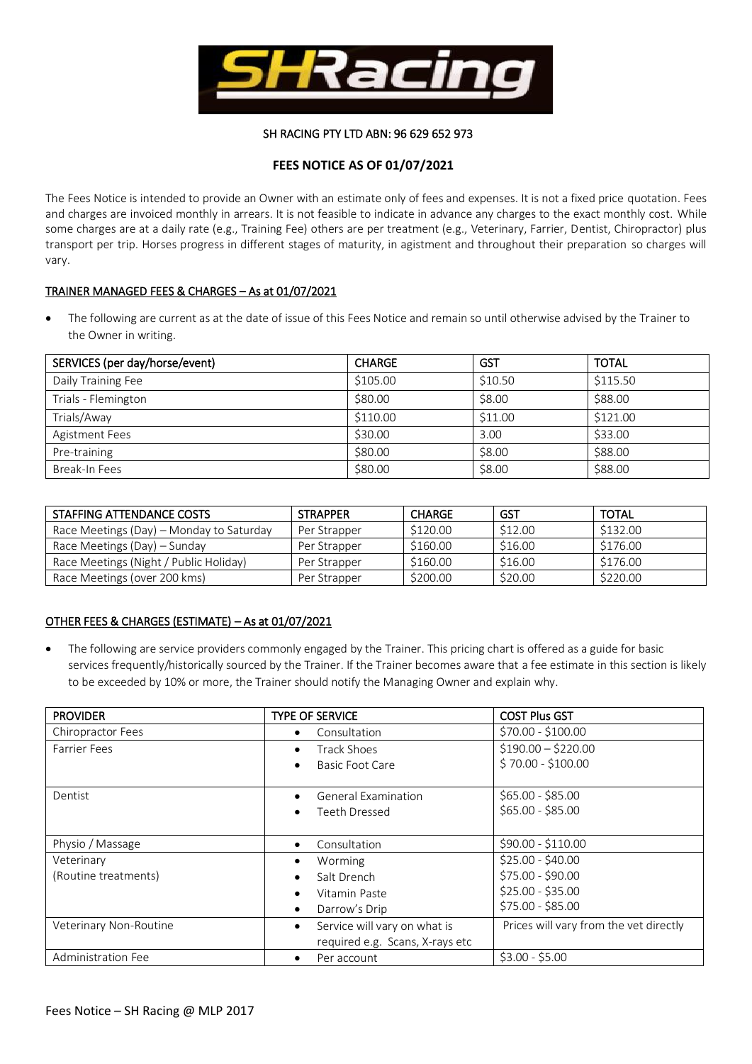

## SH RACING PTY LTD ABN: 96 629 652 973

# **FEES NOTICE AS OF 01/07/2021**

The Fees Notice is intended to provide an Owner with an estimate only of fees and expenses. It is not a fixed price quotation. Fees and charges are invoiced monthly in arrears. It is not feasible to indicate in advance any charges to the exact monthly cost. While some charges are at a daily rate (e.g., Training Fee) others are per treatment (e.g., Veterinary, Farrier, Dentist, Chiropractor) plus transport per trip. Horses progress in different stages of maturity, in agistment and throughout their preparation so charges will vary.

## TRAINER MANAGED FEES & CHARGES – As at 01/07/2021

• The following are current as at the date of issue of this Fees Notice and remain so until otherwise advised by the Trainer to the Owner in writing.

| SERVICES (per day/horse/event) | <b>CHARGE</b> | <b>GST</b> | <b>TOTAL</b> |  |
|--------------------------------|---------------|------------|--------------|--|
| Daily Training Fee             | \$105.00      | \$10.50    | \$115.50     |  |
| Trials - Flemington            | \$80.00       | \$8.00     | \$88.00      |  |
| Trials/Away                    | \$110.00      | \$11.00    | \$121.00     |  |
| Agistment Fees                 | \$30.00       | 3.00       | \$33.00      |  |
| Pre-training                   | \$80.00       | \$8.00     | \$88.00      |  |
| Break-In Fees                  | \$80.00       | \$8.00     | \$88.00      |  |

| STAFFING ATTENDANCE COSTS                | <b>STRAPPER</b> | <b>CHARGE</b> | GST     | <b>TOTAL</b> |
|------------------------------------------|-----------------|---------------|---------|--------------|
| Race Meetings (Day) - Monday to Saturday | Per Strapper    | \$120.00      | \$12.00 | \$132.00     |
| Race Meetings (Day) – Sunday             | Per Strapper    | \$160.00      | \$16.00 | \$176.00     |
| Race Meetings (Night / Public Holiday)   | Per Strapper    | \$160.00      | \$16.00 | \$176.00     |
| Race Meetings (over 200 kms)             | Per Strapper    | \$200.00      | \$20.00 | \$220.00     |

## OTHER FEES & CHARGES (ESTIMATE) – As at 01/07/2021

• The following are service providers commonly engaged by the Trainer. This pricing chart is offered as a guide for basic services frequently/historically sourced by the Trainer. If the Trainer becomes aware that a fee estimate in this section is likely to be exceeded by 10% or more, the Trainer should notify the Managing Owner and explain why.

| <b>PROVIDER</b>           | <b>TYPE OF SERVICE</b>                    | <b>COST Plus GST</b>                   |
|---------------------------|-------------------------------------------|----------------------------------------|
| Chiropractor Fees         | Consultation<br>٠                         | $$70.00 - $100.00$                     |
| <b>Farrier Fees</b>       | Track Shoes<br>٠                          | $$190.00 - $220.00$                    |
|                           | Basic Foot Care                           | $$70.00 - $100.00$                     |
|                           |                                           |                                        |
| Dentist                   | General Examination<br>٠                  | $$65.00 - $85.00$                      |
|                           | Teeth Dressed                             | $$65.00 - $85.00$                      |
|                           |                                           |                                        |
| Physio / Massage          | Consultation<br>$\bullet$                 | $$90.00 - $110.00$                     |
| Veterinary                | Worming                                   | $$25.00 - $40.00$                      |
| (Routine treatments)      | Salt Drench                               | \$75.00 - \$90.00                      |
|                           | Vitamin Paste                             | $$25.00 - $35.00$                      |
|                           | Darrow's Drip<br>٠                        | \$75.00 - \$85.00                      |
| Veterinary Non-Routine    | Service will vary on what is<br>$\bullet$ | Prices will vary from the vet directly |
|                           | required e.g. Scans, X-rays etc           |                                        |
| <b>Administration Fee</b> | Per account                               | $$3.00 - $5.00$                        |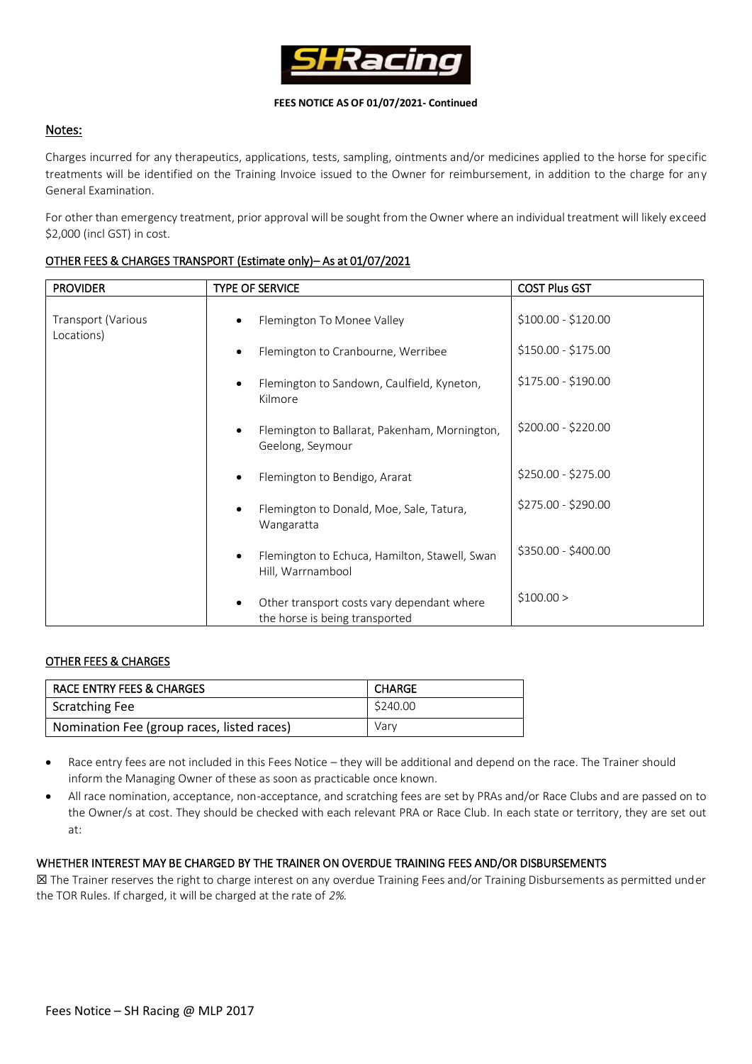

### **FEES NOTICE AS OF 01/07/2021- Continued**

# Notes:

Charges incurred for any therapeutics, applications, tests, sampling, ointments and/or medicines applied to the horse for specific treatments will be identified on the Training Invoice issued to the Owner for reimbursement, in addition to the charge for any General Examination.

For other than emergency treatment, prior approval will be sought from the Owner where an individual treatment will likely exceed \$2,000 (incl GST) in cost.

| <b>PROVIDER</b>                         | <b>TYPE OF SERVICE</b>                                             | <b>COST Plus GST</b> |
|-----------------------------------------|--------------------------------------------------------------------|----------------------|
| <b>Transport (Various</b><br>Locations) | Flemington To Monee Valley                                         | \$100.00 - \$120.00  |
|                                         | Flemington to Cranbourne, Werribee                                 | \$150.00 - \$175.00  |
|                                         | Flemington to Sandown, Caulfield, Kyneton,<br>Kilmore              | \$175.00 - \$190.00  |
|                                         | Flemington to Ballarat, Pakenham, Mornington,<br>Geelong, Seymour  | \$200.00 - \$220.00  |
|                                         | Flemington to Bendigo, Ararat                                      | \$250.00 - \$275.00  |
|                                         | Flemington to Donald, Moe, Sale, Tatura,<br>Wangaratta             | \$275.00 - \$290.00  |
|                                         | Flemington to Echuca, Hamilton, Stawell, Swan<br>Hill, Warrnambool | \$350.00 - \$400.00  |
|                                         | Other transport costs vary dependant where                         | \$100.00 >           |

the horse is being transported

## OTHER FEES & CHARGES TRANSPORT (Estimate only)– As at 01/07/2021

### OTHER FEES & CHARGES

| RACE ENTRY FEES & CHARGES                  | <b>CHARGE</b> |  |
|--------------------------------------------|---------------|--|
| <b>Scratching Fee</b>                      | \$240.00      |  |
| Nomination Fee (group races, listed races) | Varv          |  |

- Race entry fees are not included in this Fees Notice they will be additional and depend on the race. The Trainer should inform the Managing Owner of these as soon as practicable once known.
- All race nomination, acceptance, non-acceptance, and scratching fees are set by PRAs and/or Race Clubs and are passed on to the Owner/s at cost. They should be checked with each relevant PRA or Race Club. In each state or territory, they are set out at:

#### WHETHER INTEREST MAY BE CHARGED BY THE TRAINER ON OVERDUE TRAINING FEES AND/OR DISBURSEMENTS

☒ The Trainer reserves the right to charge interest on any overdue Training Fees and/or Training Disbursements as permitted under the TOR Rules. If charged, it will be charged at the rate of *2%.*